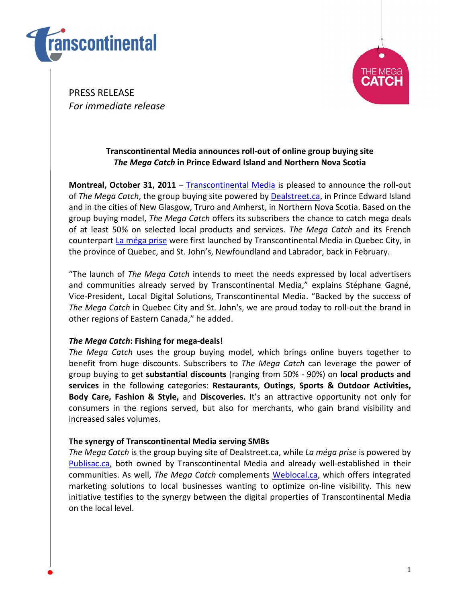



PRESS RELEASE For immediate release

# Transcontinental Media announces roll-out of online group buying site The Mega Catch in Prince Edward Island and Northern Nova Scotia

Montreal, October 31, 2011 – Transcontinental Media is pleased to announce the roll-out of The Mega Catch, the group buying site powered by Dealstreet.ca, in Prince Edward Island and in the cities of New Glasgow, Truro and Amherst, in Northern Nova Scotia. Based on the group buying model, The Mega Catch offers its subscribers the chance to catch mega deals of at least 50% on selected local products and services. The Mega Catch and its French counterpart La méga prise were first launched by Transcontinental Media in Quebec City, in the province of Quebec, and St. John's, Newfoundland and Labrador, back in February.

"The launch of The Mega Catch intends to meet the needs expressed by local advertisers and communities already served by Transcontinental Media," explains Stéphane Gagné, Vice-President, Local Digital Solutions, Transcontinental Media. "Backed by the success of The Mega Catch in Quebec City and St. John's, we are proud today to roll-out the brand in other regions of Eastern Canada," he added.

## The Mega Catch: Fishing for mega-deals!

The Mega Catch uses the group buying model, which brings online buyers together to benefit from huge discounts. Subscribers to The Mega Catch can leverage the power of group buying to get substantial discounts (ranging from 50% - 90%) on local products and services in the following categories: Restaurants, Outings, Sports & Outdoor Activities, Body Care, Fashion & Style, and Discoveries. It's an attractive opportunity not only for consumers in the regions served, but also for merchants, who gain brand visibility and increased sales volumes.

## The synergy of Transcontinental Media serving SMBs

The Mega Catch is the group buying site of Dealstreet.ca, while La méga prise is powered by Publisac.ca, both owned by Transcontinental Media and already well-established in their communities. As well, The Mega Catch complements Weblocal.ca, which offers integrated marketing solutions to local businesses wanting to optimize on-line visibility. This new initiative testifies to the synergy between the digital properties of Transcontinental Media on the local level.